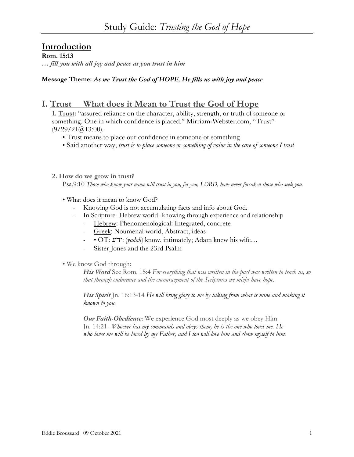# **Introduction**

**Rom. 15:13**

*… fill you with all joy and peace as you trust in him*

**Message Theme:** *As we Trust the God of HOPE, He fills us with joy and peace*

## **I. Trust What does it Mean to Trust the God of Hope**

**1. Trust:** "assured reliance on the character, ability, strength, or truth of someone or something. One in which confidence is placed." Mirriam-Webster.com, "Trust"  $(9/29/21)$  (a) 13:00).

- Trust means to place our confidence in someone or something
- Said another way, *trust is to place someone or something of value in the care of someone I trust*
- **2. How do we grow in trust?**

Psa.9:10 *Those who know your name will trust in you, for you, LORD, have never forsaken those who seek you.*

- What does it mean to know God?
	- Knowing God is not accumulating facts and info about God.
	- In Scripture- Hebrew world- knowing through experience and relationship
		- Hebrew: Phenomenological: Integrated, concrete
		- Greek: Noumenal world, Abstract, ideas
		- • OT:  $\forall$  'ירע: (*yadah*) know, intimately; Adam knew his wife…
		- Sister Jones and the 23rd Psalm
- We know God through:

*His Word* See Rom. 15:4 *For everything that was written in the past was written to teach us, so that through endurance and the encouragement of the Scriptures we might have hope.*

*His Spirit* Jn. 16:13-14 *He will bring glory to me by taking from what is mine and making it known to you.*

*Our Faith-Obedience*: We experience God most deeply as we obey Him. Jn. 14:21- *Whoever has my commands and obeys them, he is the one who loves me. He who loves me will be loved by my Father, and I too will love him and show myself to him.*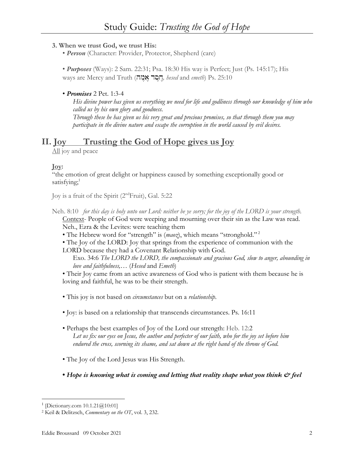## **3. When we trust God, we trust His:**

• *Person* (Character: Provider, Protector, Shepherd (care)

• *Purposes* (Ways): 2 Sam. 22:31; Psa. 18:30 His way is Perfect; Just (Ps. 145:17); His ways are Mercy and Truth (חֵםֶר אֱמֶה, hesed and *emeth*) Ps. 25:10

## • *Promises* 2 Pet. 1:3-4

*His divine power has given us everything we need for life and godliness through our knowledge of him who called us by his own glory and goodness. Through these he has given us his very great and precious promises, so that through them you may participate in the divine nature and escape the corruption in the world caused by evil desires.*

# **II. Joy Trusting the God of Hope gives us Joy**

All joy and peace

## **Joy:**

"the emotion of great delight or happiness caused by something exceptionally good or satisfying; $<sup>1</sup>$ </sup>

Joy is a fruit of the Spirit (2ndFruit), Gal. 5:22

- Neh. 8:10 *for this day is holy unto our Lord: neither be ye sorry; for the joy of the LORD is your strength.* Context- People of God were weeping and mourning over their sin as the Law was read. Neh., Ezra & the Levites: were teaching them
	- The Hebrew word for "strength" is (*maoz*), which means "stronghold." <sup>2</sup>
	- The Joy of the LORD: Joy that springs from the experience of communion with the

LORD because they had a Covenant Relationship with God.

Exo. 34:6 *The LORD the LORD, the compassionate and gracious God, slow to anger, abounding in love and faithfulness,…* (*Hesed* and *Emeth*)

• Their Joy came from an active awareness of God who is patient with them because he is loving and faithful, he was to be their strength.

- This joy is not based on *circumstances* but on a *relationship*.
- Joy: is based on a relationship that transcends circumstances. Ps. 16:11
- Perhaps the best examples of Joy of the Lord our strength: Heb. 12:2 *Let us fix our eyes on Jesus, the author and perfecter of our faith, who for the joy set before him endured the cross, scorning its shame, and sat down at the right hand of the throne of God.*
- The Joy of the Lord Jesus was His Strength.
- *Hope is knowing what is coming and letting that reality shape what you think & feel*

<sup>&</sup>lt;sup>1</sup> [Dictionary.com  $10.1.21@10:01$ ]

<sup>2</sup> Keil & Delitzsch, *Commentary on the OT*, vol. 3, 232.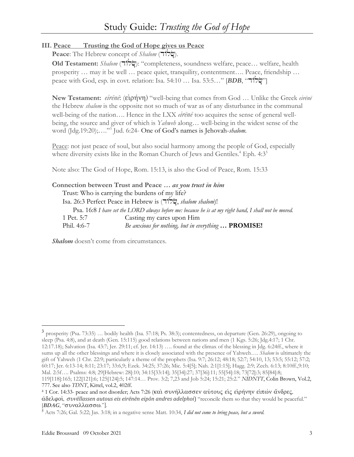## **III. Peace Trusting the God of Hope gives us Peace**

Peace: The Hebrew concept of *Shalom* (אֹלוֹד).

**Old Testament:** *Shalom* (dwøl∂c): "completeness, soundness welfare, peace… welfare, health prosperity … may it be well … peace quiet, tranquility, contentment…. Peace, friendship … peace with God, esp. in covt. relation: Isa. 54:10 … Isa. 53:5…" [**BDB**, "מֹשׂלוֹך"]

**New Testament:** *eirēnē*: (εἰρήνη) "well-being that comes from God ... Unlike the Greek eirēnē the Hebrew *shalom* is the opposite not so much of war as of any disturbance in the communal well-being of the nation…. Hence in the LXX *eirēnē* too acquires the sense of general wellbeing, the source and giver of which is *Yahweh* along… well-being in the widest sense of the word (Jdg.19:20);…."3 Jud. 6:24- One of God's names is Jehovah-*shalom*.

Peace: not just peace of soul, but also social harmony among the people of God, especially where diversity exists like in the Roman Church of Jews and Gentiles.<sup>4</sup> Eph.  $4:3<sup>5</sup>$ 

Note also: The God of Hope, Rom. 15:13, is also the God of Peace, Rom. 15:33

|             | Connection between Trust and Peace  as you trust in him                                               |
|-------------|-------------------------------------------------------------------------------------------------------|
|             | Trust: Who is carrying the burdens of my life?                                                        |
|             | Isa. 26:3 Perfect Peace in Hebrew is ("i"); shalom shalom)!                                           |
|             | Psa. 16:8 I have set the LORD always before me: because he is at my right hand, I shall not be moved. |
| 1 Pet. 5:7  | Casting my cares upon Him                                                                             |
| Phil. 4:6-7 | Be anxious for nothing, but in everything  PROMISE!                                                   |

*Shalom* doesn't come from circumstances.

<sup>3</sup> prosperity (Psa. 73:35) … bodily health (Isa. 57:18; Ps. 38:3); contentedness, on departure (Gen. 26:29), ongoing to sleep (Psa. 4:8), and at death (Gen. 15:115) good relations between nations and men (1 Kgs. 5:26; Jdg.4:17; 1 Chr. 12:17.18); Salvation (Isa. 43:7; Jer. 29:11; cf. Jer. 14:13) …. found at the climax of the blessing in Jdg. 6:24ff., where it sums up all the other blessings and where it is closely associated with the presence of Yahweh…. *Shalom* is ultimately the gift of Yahweh (1 Chr. 22:9; particularly a theme of the prophets (Isa. 9:7; 26:12; 48:18; 52:7; 54:10, 13; 53:5; 55:12; 57:2; 60:17; Jer. 6:13-14; 8:11; 23:17; 33:6,9; Ezek. 34:25; 37:26; Mic. 5:4[5]; Nah. 2:1[1:15]; Hagg. 2:9; Zech. 6:13; 8:10ff.,9:10; Mal. 2:5f…. Psalms: 4:8; 29[Hebrew: 28]:10; 34:15[33:14]; 35[34]:27; 37[36]:11; 55[54]:18; 73[72]:3; 85[84]:8; 119[118]:165; 122[121]:6; 125[124]:5; 147:14… Prov. 3:2; 7,23 and Job 5:24; 15:21; 25:2." *NIDNTT*, Colin Brown, Vol.2, 777. See also *TDNT*, Kittel, vol.2, 402ff.

<sup>&</sup>lt;sup>4</sup> 1 Cor. 14:33- peace and not disorder; Acts 7:26 (και συνήλλασσεν αυτους εις ειρήνην ειπών άνδρες,  $\alpha\delta$ ελφοί, *συνēllassen autous eis eirēnēn eipōn andres adelphoi*) "reconcile them so that they would be peaceful." [*BDAG*, "συναλλασσω."].

<sup>5</sup> Acts 7:26; Gal. 5:22; Jas. 3:18; in a negative sense Matt. 10:34, *I did not come to bring peace, but a sword.*